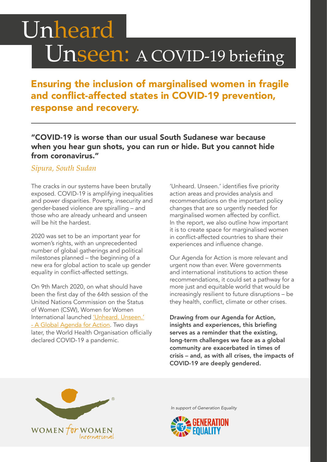# Unheard Unseen: A COVID-19 briefing

Ensuring the inclusion of marginalised women in fragile and conflict-affected states in COVID-19 prevention, response and recovery.

"COVID-19 is worse than our usual South Sudanese war because when you hear gun shots, you can run or hide. But you cannot hide from coronavirus."

#### *Sipura, South Sudan*

The cracks in our systems have been brutally exposed. COVID-19 is amplifying inequalities and power disparities. Poverty, insecurity and gender-based violence are spiralling – and those who are already unheard and unseen will be hit the hardest.

2020 was set to be an important year for women's rights, with an unprecedented number of global gatherings and political milestones planned – the beginning of a new era for global action to scale up gender equality in conflict-affected settings.

On 9th March 2020, on what should have been the first day of the 64th session of the United Nations Commission on the Status of Women (CSW), Women for Women International launched ['Unheard. Unseen.'](https://www.womenforwomen.org.uk/agendaforaction) [- A Global Agenda for Action](https://www.womenforwomen.org.uk/agendaforaction). Two days later, the World Health Organisation officially declared COVID-19 a pandemic.

'Unheard. Unseen.' identifies five priority action areas and provides analysis and recommendations on the important policy changes that are so urgently needed for marginalised women affected by conflict. In the report, we also outline how important it is to create space for marginalised women in conflict-affected countries to share their experiences and influence change.

Our Agenda for Action is more relevant and urgent now than ever. Were governments and international institutions to action these recommendations, it could set a pathway for a more just and equitable world that would be increasingly resilient to future disruptions – be they health, conflict, climate or other crises.

Drawing from our Agenda for Action, insights and experiences, this briefing serves as a reminder that the existing, long-term challenges we face as a global community are exacerbated in times of crisis – and, as with all crises, the impacts of COVID-19 are deeply gendered.



*In support of Generation Equality*

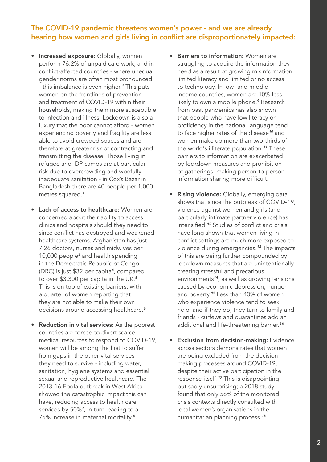#### The COVID-19 pandemic threatens women's power - and we are already hearing how women and girls living in conflict are disproportionately impacted:

- Increased exposure: Globally, women perform 76.2% of unpaid care work, and in conflict-affected countries - where unequal gender norms are often most pronounced - this imbalance is even higher.*1* This puts women on the frontlines of prevention and treatment of COVID-19 within their households, making them more susceptible to infection and illness. Lockdown is also a luxury that the poor cannot afford - women experiencing poverty and fragility are less able to avoid crowded spaces and are therefore at greater risk of contracting and transmitting the disease. Those living in refugee and IDP camps are at particular risk due to overcrowding and woefully inadequate sanitation - in Cox's Bazar in Bangladesh there are 40 people per 1,000 metres squared.*<sup>2</sup>*
- Lack of access to healthcare: Women are concerned about their ability to access clinics and hospitals should they need to, since conflict has destroyed and weakened healthcare systems. Afghanistan has just 7.26 doctors, nurses and midwives per 10,000 people*3* and health spending in the Democratic Republic of Congo (DRC) is just \$32 per capita*4*, compared to over \$3,300 per capita in the UK.*<sup>5</sup>* This is on top of existing barriers, with a quarter of women reporting that they are not able to make their own decisions around accessing healthcare.*<sup>6</sup>*
- Reduction in vital services: As the poorest countries are forced to divert scarce medical resources to respond to COVID-19, women will be among the first to suffer from gaps in the other vital services they need to survive - including water, sanitation, hygiene systems and essential sexual and reproductive healthcare. The 2013-16 Ebola outbreak in West Africa showed the catastrophic impact this can have, reducing access to health care services by 50%*7*, in turn leading to a 75% increase in maternal mortality.*<sup>8</sup>*
- **Barriers to information:** Women are struggling to acquire the information they need as a result of growing misinformation, limited literacy and limited or no access to technology. In low- and middleincome countries, women are 10% less likely to own a mobile phone.*9* Research from past pandemics has also shown that people who have low literacy or proficiency in the national language tend to face higher rates of the disease*10* and women make up more than two-thirds of the world's illiterate population.*11* These barriers to information are exacerbated by lockdown measures and prohibition of gatherings, making person-to-person information sharing more difficult.
- **Rising violence:** Globally, emerging data shows that since the outbreak of COVID-19, violence against women and girls (and particularly intimate partner violence) has intensified.*12* Studies of conflict and crisis have long shown that women living in conflict settings are much more exposed to violence during emergencies.*13* The impacts of this are being further compounded by lockdown measures that are unintentionally creating stressful and precarious environments*14*, as well as growing tensions caused by economic depression, hunger and poverty.*15* Less than 40% of women who experience violence tend to seek help, and if they do, they turn to family and friends - curfews and quarantines add an additional and life-threatening barrier.*<sup>16</sup>*
- **Exclusion from decision-making: Evidence** across sectors demonstrates that women are being excluded from the decisionmaking processes around COVID-19, despite their active participation in the response itself.*17* This is disappointing but sadly unsurprising; a 2018 study found that only 56% of the monitored crisis contexts directly consulted with local women's organisations in the humanitarian planning process.*<sup>18</sup>*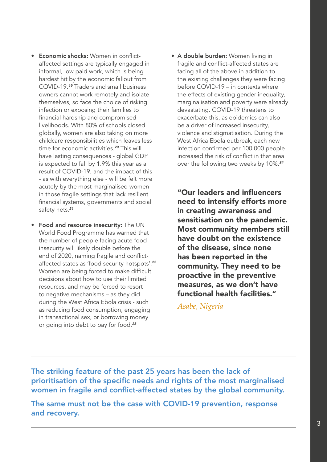- Economic shocks: Women in conflictaffected settings are typically engaged in informal, low paid work, which is being hardest hit by the economic fallout from COVID-19.*19* Traders and small business owners cannot work remotely and isolate themselves, so face the choice of risking infection or exposing their families to financial hardship and compromised livelihoods. With 80% of schools closed globally, women are also taking on more childcare responsibilities which leaves less time for economic activities.*20* This will have lasting consequences - global GDP is expected to fall by 1.9% this year as a result of COVID-19, and the impact of this - as with everything else - will be felt more acutely by the most marginalised women in those fragile settings that lack resilient financial systems, governments and social safety nets.*<sup>21</sup>*
- Food and resource insecurity: The UN World Food Programme has warned that the number of people facing acute food insecurity will likely double before the end of 2020, naming fragile and conflictaffected states as 'food security hotspots'.*<sup>22</sup>* Women are being forced to make difficult decisions about how to use their limited resources, and may be forced to resort to negative mechanisms – as they did during the West Africa Ebola crisis - such as reducing food consumption, engaging in transactional sex, or borrowing money or going into debt to pay for food.*<sup>23</sup>*

 • A double burden: Women living in fragile and conflict-affected states are facing all of the above in addition to the existing challenges they were facing before COVID-19 – in contexts where the effects of existing gender inequality, marginalisation and poverty were already devastating. COVID-19 threatens to exacerbate this, as epidemics can also be a driver of increased insecurity, violence and stigmatisation. During the West Africa Ebola outbreak, each new infection confirmed per 100,000 people increased the risk of conflict in that area over the following two weeks by 10%.*<sup>24</sup>*

"Our leaders and influencers need to intensify efforts more in creating awareness and sensitisation on the pandemic. Most community members still have doubt on the existence of the disease, since none has been reported in the community. They need to be proactive in the preventive measures, as we don't have functional health facilities."

*Asabe, Nigeria*

The striking feature of the past 25 years has been the lack of prioritisation of the specific needs and rights of the most marginalised women in fragile and conflict-affected states by the global community.

The same must not be the case with COVID-19 prevention, response and recovery.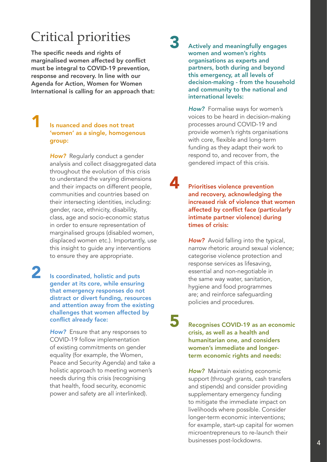## Critical priorities

The specific needs and rights of marginalised women affected by conflict must be integral to COVID-19 prevention, response and recovery. In line with our Agenda for Action, Women for Women International is calling for an approach that:

#### Is nuanced and does not treat 'women' as a single, homogenous group:

**How?** Regularly conduct a gender analysis and collect disaggregated data throughout the evolution of this crisis to understand the varying dimensions and their impacts on different people, communities and countries based on their intersecting identities, including: gender, race, ethnicity, disability, class, age and socio-economic status in order to ensure representation of marginalised groups (disabled women, displaced women etc.). Importantly, use this insight to guide any interventions to ensure they are appropriate.

2 Is coordinated, holistic and puts gender at its core, while ensuring that emergency responses do not distract or divert funding, resources and attention away from the existing challenges that women affected by conflict already face:

> *How?* Ensure that any responses to COVID-19 follow implementation of existing commitments on gender equality (for example, the Women, Peace and Security Agenda) and take a holistic approach to meeting women's needs during this crisis (recognising that health, food security, economic power and safety are all interlinked).

Actively and meaningfully engages women and women's rights organisations as experts and partners, both during and beyond this emergency, at all levels of decision-making - from the household and community to the national and international levels:

*How?* Formalise ways for women's voices to be heard in decision-making processes around COVID-19 and provide women's rights organisations with core, flexible and long-term funding as they adapt their work to respond to, and recover from, the gendered impact of this crisis.

**4** Prioritises violence prevention and recovery, acknowledging the increased risk of violence that women affected by conflict face (particularly intimate partner violence) during times of crisis:

> **How?** Avoid falling into the typical, narrow rhetoric around sexual violence; categorise violence protection and response services as lifesaving, essential and non-negotiable in the same way water, sanitation, hygiene and food programmes are; and reinforce safeguarding policies and procedures.

5 Recognises COVID-19 as an economic crisis, as well as a health and humanitarian one, and considers women's immediate and longerterm economic rights and needs:

> *How?* Maintain existing economic support (through grants, cash transfers and stipends) and consider providing supplementary emergency funding to mitigate the immediate impact on livelihoods where possible. Consider longer-term economic interventions; for example, start-up capital for women microentrepreneurs to re-launch their businesses post-lockdowns.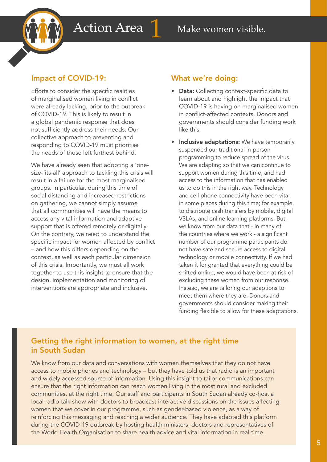

Efforts to consider the specific realities of marginalised women living in conflict were already lacking, prior to the outbreak of COVID-19. This is likely to result in a global pandemic response that does not sufficiently address their needs. Our collective approach to preventing and responding to COVID-19 must prioritise the needs of those left furthest behind.

We have already seen that adopting a 'onesize-fits-all' approach to tackling this crisis will result in a failure for the most marginalised groups. In particular, during this time of social distancing and increased restrictions on gathering, we cannot simply assume that all communities will have the means to access any vital information and adaptive support that is offered remotely or digitally. On the contrary, we need to understand the specific impact for women affected by conflict – and how this differs depending on the context, as well as each particular dimension of this crisis. Importantly, we must all work together to use this insight to ensure that the design, implementation and monitoring of interventions are appropriate and inclusive.

#### What we're doing:

- Data: Collecting context-specific data to learn about and highlight the impact that COVID-19 is having on marginalised women in conflict-affected contexts. Donors and governments should consider funding work like this.
- Inclusive adaptations: We have temporarily suspended our traditional in-person programming to reduce spread of the virus. We are adapting so that we can continue to support women during this time, and had access to the information that has enabled us to do this in the right way. Technology and cell phone connectivity have been vital in some places during this time; for example, to distribute cash transfers by mobile, digital VSLAs, and online learning platforms. But, we know from our data that - in many of the countries where we work - a significant number of our programme participants do not have safe and secure access to digital technology or mobile connectivity. If we had taken it for granted that everything could be shifted online, we would have been at risk of excluding these women from our response. Instead, we are tailoring our adaptions to meet them where they are. Donors and governments should consider making their funding flexible to allow for these adaptations.

### Getting the right information to women, at the right time in South Sudan

We know from our data and conversations with women themselves that they do not have access to mobile phones and technology – but they have told us that radio is an important and widely accessed source of information. Using this insight to tailor communications can ensure that the right information can reach women living in the most rural and excluded communities, at the right time. Our staff and participants in South Sudan already co-host a local radio talk show with doctors to broadcast interactive discussions on the issues affecting women that we cover in our programme, such as gender-based violence, as a way of reinforcing this messaging and reaching a wider audience. They have adapted this platform during the COVID-19 outbreak by hosting health ministers, doctors and representatives of the World Health Organisation to share health advice and vital information in real time.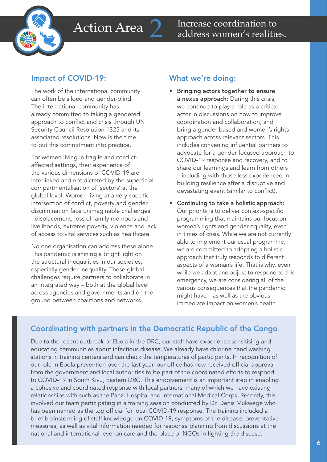

to put this commitment into practice. The work of the international community can often be siloed and gender-blind. The international community has already committed to taking a gendered approach to conflict and crisis through UN Security Council Resolution 1325 and its associated resolutions. Now is the time

For women living in fragile and conflictaffected settings, their experience of the various dimensions of COVID-19 are interlinked and not dictated by the superficial compartmentalisation of 'sectors' at the global level. Women living at a very specific intersection of conflict, poverty and gender discrimination face unimaginable challenges - displacement, loss of family members and livelihoods, extreme poverty, violence and lack of access to vital services such as healthcare.

No one organisation can address these alone. This pandemic is shining a bright light on the structural inequalities in our societies, especially gender inequality. These global challenges require partners to collaborate in an integrated way – both at the global level across agencies and governments and on the ground between coalitions and networks.

#### What we're doing:

- Bringing actors together to ensure a nexus approach: During this crisis, we continue to play a role as a critical actor in discussions on how to improve coordination and collaboration, and bring a gender-based and women's rights approach across relevant sectors. This includes convening influential partners to advocate for a gender-focused approach to COVID-19 response and recovery, and to share our learnings and learn from others – including with those less experienced in building resilience after a disruptive and devastating event (similar to conflict).
- Continuing to take a holistic approach: Our priority is to deliver context-specific programming that maintains our focus on women's rights and gender equality, even in times of crisis. While we are not currently able to implement our usual programme, we are committed to adopting a holistic approach that truly responds to different aspects of a woman's life. That is why, even while we adapt and adjust to respond to this emergency, we are considering all of the various consequences that the pandemic might have – as well as the obvious immediate impact on women's health.

### Coordinating with partners in the Democratic Republic of the Congo

Due to the recent outbreak of Ebola in the DRC, our staff have experience sensitising and educating communities about infectious disease. We already have chlorine hand washing stations in training centers and can check the temperatures of participants. In recognition of our role in Ebola prevention over the last year, our office has now received official approval from the government and local authorities to be part of the coordinated efforts to respond to COVID-19 in South Kivu, Eastern DRC. This endorsement is an important step in enabling a cohesive and coordinated response with local partners, many of which we have existing relationships with such as the Panzi Hospital and International Medical Corps. Recently, this involved our team participating in a training session conducted by Dr. Denis Mukwege who has been named as the top official for local COVID-19 response. The training included a brief brainstorming of staff knowledge on COVID-19, symptoms of the disease, preventative measures, as well as vital information needed for response planning from discussions at the national and international level on care and the place of NGOs in fighting the disease.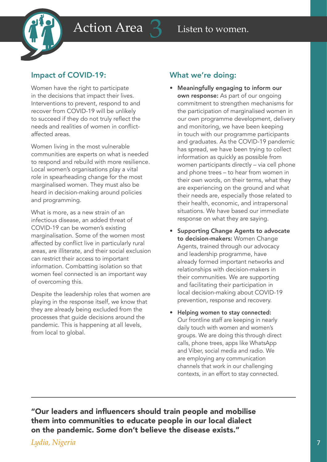

Women have the right to participate in the decisions that impact their lives. Interventions to prevent, respond to and recover from COVID-19 will be unlikely to succeed if they do not truly reflect the needs and realities of women in conflictaffected areas.

Women living in the most vulnerable communities are experts on what is needed to respond and rebuild with more resilience. Local women's organisations play a vital role in spearheading change for the most marginalised women. They must also be heard in decision-making around policies and programming.

What is more, as a new strain of an infectious disease, an added threat of COVID-19 can be women's existing marginalisation. Some of the women most affected by conflict live in particularly rural areas, are illiterate, and their social exclusion can restrict their access to important information. Combatting isolation so that women feel connected is an important way of overcoming this.

Despite the leadership roles that women are playing in the response itself, we know that they are already being excluded from the processes that guide decisions around the pandemic. This is happening at all levels, from local to global.

#### What we're doing:

- Meaningfully engaging to inform our own response: As part of our ongoing commitment to strengthen mechanisms for the participation of marginalised women in our own programme development, delivery and monitoring, we have been keeping in touch with our programme participants and graduates. As the COVID-19 pandemic has spread, we have been trying to collect information as quickly as possible from women participants directly – via cell phone and phone trees – to hear from women in their own words, on their terms, what they are experiencing on the ground and what their needs are, especially those related to their health, economic, and intrapersonal situations. We have based our immediate response on what they are saying.
- Supporting Change Agents to advocate to decision-makers: Women Change Agents, trained through our advocacy and leadership programme, have already formed important networks and relationships with decision-makers in their communities. We are supporting and facilitating their participation in local decision-making about COVID-19 prevention, response and recovery.
- Helping women to stay connected: Our frontline staff are keeping in nearly daily touch with women and women's groups. We are doing this through direct calls, phone trees, apps like WhatsApp and Viber, social media and radio. We are employing any communication channels that work in our challenging contexts, in an effort to stay connected.

"Our leaders and influencers should train people and mobilise them into communities to educate people in our local dialect on the pandemic. Some don't believe the disease exists."

#### *Lydia, Nigeria*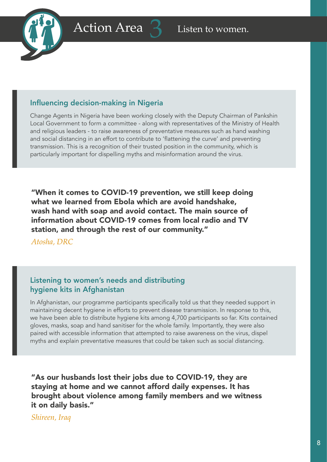



#### Influencing decision-making in Nigeria

Change Agents in Nigeria have been working closely with the Deputy Chairman of Pankshin Local Government to form a committee - along with representatives of the Ministry of Health and religious leaders - to raise awareness of preventative measures such as hand washing and social distancing in an effort to contribute to 'flattening the curve' and preventing transmission. This is a recognition of their trusted position in the community, which is particularly important for dispelling myths and misinformation around the virus.

"When it comes to COVID-19 prevention, we still keep doing what we learned from Ebola which are avoid handshake, wash hand with soap and avoid contact. The main source of information about COVID-19 comes from local radio and TV station, and through the rest of our community."

*Atosha, DRC*

#### Listening to women's needs and distributing hygiene kits in Afghanistan

In Afghanistan, our programme participants specifically told us that they needed support in maintaining decent hygiene in efforts to prevent disease transmission. In response to this, we have been able to distribute hygiene kits among 4,700 participants so far. Kits contained gloves, masks, soap and hand sanitiser for the whole family. Importantly, they were also paired with accessible information that attempted to raise awareness on the virus, dispel myths and explain preventative measures that could be taken such as social distancing.

"As our husbands lost their jobs due to COVID-19, they are staying at home and we cannot afford daily expenses. It has brought about violence among family members and we witness it on daily basis."

*Shireen, Iraq*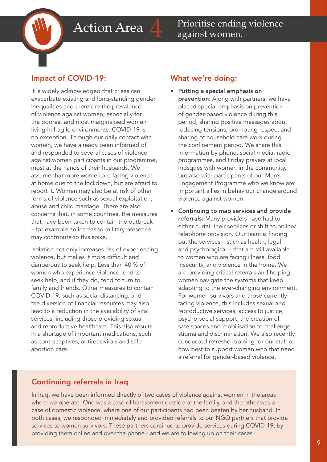It is widely acknowledged that crises can exacerbate existing and long-standing gender inequalities and therefore the prevalence of violence against women, especially for the poorest and most marginalised women living in fragile environments. COVID-19 is no exception. Through our daily contact with women, we have already been informed of and responded to several cases of violence against women participants in our programme, most at the hands of their husbands. We assume that more women are facing violence at home due to the lockdown, but are afraid to report it. Women may also be at risk of other forms of violence such as sexual exploitation, abuse and child marriage. There are also concerns that, in some countries, the measures that have been taken to contain the outbreak – for example an increased military presence may contribute to this spike.

Isolation not only increases risk of experiencing violence, but makes it more difficult and dangerous to seek help. Less than 40 % of women who experience violence tend to seek help, and if they do, tend to turn to family and friends. Other measures to contain COVID-19, such as social distancing, and the diversion of financial resources may also lead to a reduction in the availability of vital services, including those providing sexual and reproductive healthcare. This also results in a shortage of important medications, such as contraceptives, antiretrovirals and safe abortion care.

#### What we're doing:

- Putting a special emphasis on prevention: Along with partners, we have placed special emphasis on prevention of gender-based violence during this period, sharing positive messages about reducing tensions, promoting respect and sharing of household care work during the confinement period. We share this information by phone, social media, radio programmes, and Friday prayers at local mosques with women in the community, but also with participants of our Men's Engagement Programme who we know are important allies in behaviour change around violence against women.
- Continuing to map services and provide referrals: Many providers have had to either curtail their services or shift to online/ telephone provision. Our team is finding out the services – such as health, legal and psychological – that are still available to women who are facing illness, food insecurity, and violence in the home. We are providing critical referrals and helping women navigate the systems that keep adapting to the ever-changing environment. For women survivors and those currently facing violence, this includes sexual and reproductive services, access to justice, psycho-social support, the creation of safe spaces and mobilisation to challenge stigma and discrimination. We also recently conducted refresher training for our staff on how best to support women who that need a referral for gender-based violence.

#### Continuing referrals in Iraq

In Iraq, we have been informed directly of two cases of violence against women in the areas where we operate. One was a case of harassment outside of the family, and the other was a case of domestic violence, where one of our participants had been beaten by her husband. In both cases, we responded immediately and provided referrals to our NGO partners that provide services to women survivors. These partners continue to provide services during COVID-19, by providing them online and over the phone - and we are following up on their cases.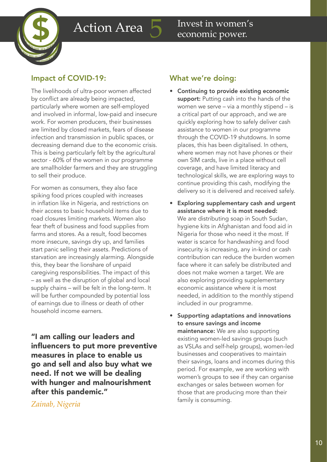

The livelihoods of ultra-poor women affected by conflict are already being impacted, particularly where women are self-employed and involved in informal, low-paid and insecure work. For women producers, their businesses are limited by closed markets, fears of disease infection and transmission in public spaces, or decreasing demand due to the economic crisis. This is being particularly felt by the agricultural sector - 60% of the women in our programme are smallholder farmers and they are struggling to sell their produce.

For women as consumers, they also face spiking food prices coupled with increases in inflation like in Nigeria, and restrictions on their access to basic household items due to road closures limiting markets. Women also fear theft of business and food supplies from farms and stores. As a result, food becomes more insecure, savings dry up, and families start panic selling their assets. Predictions of starvation are increasingly alarming. Alongside this, they bear the lionshare of unpaid caregiving responsibilities. The impact of this – as well as the disruption of global and local supply chains – will be felt in the long-term. It will be further compounded by potential loss of earnings due to illness or death of other household income earners.

"I am calling our leaders and influencers to put more preventive measures in place to enable us go and sell and also buy what we need. If not we will be dealing with hunger and malnourishment after this pandemic."

#### *Zainab, Nigeria*

#### What we're doing:

- Continuing to provide existing economic support: Putting cash into the hands of the women we serve – via a monthly stipend – is a critical part of our approach, and we are quickly exploring how to safely deliver cash assistance to women in our programme through the COVID-19 shutdowns. In some places, this has been digitalised. In others, where women may not have phones or their own SIM cards, live in a place without cell coverage, and have limited literacy and technological skills, we are exploring ways to continue providing this cash, modifying the delivery so it is delivered and received safely.
- Exploring supplementary cash and urgent assistance where it is most needed: We are distributing soap in South Sudan, hygiene kits in Afghanistan and food aid in Nigeria for those who need it the most. If water is scarce for handwashing and food insecurity is increasing, any in-kind or cash contribution can reduce the burden women face where it can safely be distributed and does not make women a target. We are also exploring providing supplementary economic assistance where it is most needed, in addition to the monthly stipend included in our programme.
- Supporting adaptations and innovations to ensure savings and income maintenance: We are also supporting existing women-led savings groups (such as VSLAs and self-help groups), women-led businesses and cooperatives to maintain their savings, loans and incomes during this period. For example, we are working with women's groups to see if they can organise exchanges or sales between women for those that are producing more than their family is consuming.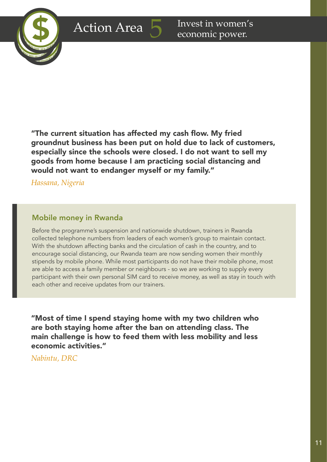

"The current situation has affected my cash flow. My fried groundnut business has been put on hold due to lack of customers, especially since the schools were closed. I do not want to sell my goods from home because I am practicing social distancing and would not want to endanger myself or my family."

*Hassana, Nigeria*

#### Mobile money in Rwanda

Before the programme's suspension and nationwide shutdown, trainers in Rwanda collected telephone numbers from leaders of each women's group to maintain contact. With the shutdown affecting banks and the circulation of cash in the country, and to encourage social distancing, our Rwanda team are now sending women their monthly stipends by mobile phone. While most participants do not have their mobile phone, most are able to access a family member or neighbours - so we are working to supply every participant with their own personal SIM card to receive money, as well as stay in touch with each other and receive updates from our trainers.

"Most of time I spend staying home with my two children who are both staying home after the ban on attending class. The main challenge is how to feed them with less mobility and less economic activities."

*Nabintu, DRC*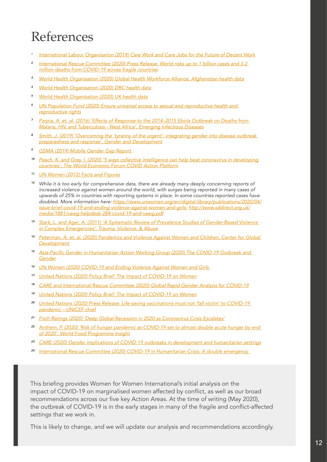## References

- *<sup>1</sup> [International Labour Organisation \(2019\) Care Work and Care Jobs for the Future of Decent Work](https://www.ilo.org/global/publications/books/WCMS_633135/lang--en/index.htm)*
- *<sup>2</sup> [International Rescue Committee \(2020\) Press Release: World risks up to 1 billion cases and 3.2](https://www.rescue.org/press-release/irc-world-risks-1-billion-cases-and-32-million-deaths-covid-19-across-fragile)  [million deaths from COVID-19 across fragile countries](https://www.rescue.org/press-release/irc-world-risks-1-billion-cases-and-32-million-deaths-covid-19-across-fragile)*
- *<sup>3</sup> [World Health Organisation \(2020\) Global Health Workforce Alliance, Afghanistan health data](https://www.who.int/workforcealliance/countries/afg/en/)*
- *<sup>4</sup> [World Health Organisation \(2020\) DRC health data](https://www.who.int/countries/cod/en/)*
- *<sup>5</sup> [World Health Organisation \(2020\) UK health data](https://www.who.int/countries/gbr/en/)*
- *<sup>6</sup> [UN Population Fund \(2020\) Ensure universal access to sexual and reproductive health and](https://www.unfpa.org/sites/default/files/pub-pdf/UNFPA-SDG561562Combined-v4.15.pdf)  [reproductive rights](https://www.unfpa.org/sites/default/files/pub-pdf/UNFPA-SDG561562Combined-v4.15.pdf)*
- *<sup>7</sup> [Parpia, A. et. al. \(2016\) 'Effects of Response to the 2014–2015 Ebola Outbreak on Deaths from](https://wwwnc.cdc.gov/eid/article/22/3/15-0977_article)  [Malaria, HIV, and Tuberculosis - West Africa', Emerging Infectious Diseases](https://wwwnc.cdc.gov/eid/article/22/3/15-0977_article)*
- *<sup>8</sup> [Smith, J. \(2019\) 'Overcoming the 'tyranny of the urgent': integrating gender into disease outbreak](https://www.tandfonline.com/doi/full/10.1080/13552074.2019.1615288)  [preparedness and response', Gender and Development](https://www.tandfonline.com/doi/full/10.1080/13552074.2019.1615288)*
- *<sup>9</sup> [GSMA \(2019\) Mobile Gender Gap Report](https://www.gsma.com/mobilefordevelopment/resources/mobile-gender-gap-report-2019/)*
- *<sup>10</sup> [Peach, K. and Gray. I. \(2020\) '5 ways collective intelligence can help beat coronavirus in developing](https://www.weforum.org/agenda/2020/05/five-ways-collective-intelligence-can-help-beat-coronavirus-in-developing-countries/)  [countries', The World Economic Forum COVID Action Platform](https://www.weforum.org/agenda/2020/05/five-ways-collective-intelligence-can-help-beat-coronavirus-in-developing-countries/)*
- *<sup>11</sup> [UN Women \(2012\) Facts and Figures](https://www.unwomen.org/en/news/in-focus/commission-on-the-status-of-women-2012/facts-and-figures)*
- *<sup>12</sup> While it is too early for comprehensive data, there are already many deeply concerning reports of increased violence against women around the world, with surges being reported in many cases of upwards of 25% in countries with reporting systems in place. In some countries reported cases have doubled. More information here: [https://www.unwomen.org/en/digital-library/publications/2020/04/](https://www.unwomen.org/en/digital-library/publications/2020/04/issue-brief-covid-19-and-ending-violence-against-women-and-girls) [issue-brief-covid-19-and-ending-violence-against-women-and-girls](https://www.unwomen.org/en/digital-library/publications/2020/04/issue-brief-covid-19-and-ending-violence-against-women-and-girls); [http://www.sddirect.org.uk/](http://www.sddirect.org.uk/media/1881/vawg-helpdesk-284-covid-19-and-vawg.pdf) [media/1881/vawg-helpdesk-284-covid-19-and-vawg.pdf](http://www.sddirect.org.uk/media/1881/vawg-helpdesk-284-covid-19-and-vawg.pdf)*
- *<sup>13</sup> [Stark, L. and Ager, A. \(2011\) 'A Systematic Review of Prevalence Studies of Gender-Based Violence](https://pdfs.semanticscholar.org/cd07/060b657f75fecd53a70a8b16f8b3c94f59db.pdf)  [in Complex Emergencies', Trauma, Violence, & Abuse](https://pdfs.semanticscholar.org/cd07/060b657f75fecd53a70a8b16f8b3c94f59db.pdf)*
- *<sup>14</sup> [Peterman, A. et. al. \(2020\) Pandemics and Violence Against Women and Children, Center for Global](https://www.cgdev.org/sites/default/files/pandemics-and-vawg-april2.pdf)  [Development](https://www.cgdev.org/sites/default/files/pandemics-and-vawg-april2.pdf)*
- *<sup>15</sup>* [Asia-Pacific Gender in Humanitarian Action Working Group \(2020\) The COVID-19 Outbreak and](https://www2.unwomen.org/-/media/field%20office%20eseasia/docs/publications/2020/03/ap-giha-wg-advocacy.pdf?la=en&vs=2145)  *[Gender](https://www2.unwomen.org/-/media/field%20office%20eseasia/docs/publications/2020/03/ap-giha-wg-advocacy.pdf?la=en&vs=2145)*
- *<sup>16</sup> [UN Women \(2020\) COVID-19 and Ending Violence Against Women and Girls](https://www.unwomen.org/-/media/headquarters/attachments/sections/library/publications/2020/issue-brief-covid-19-and-ending-violence-against-women-and-girls-en.pdf?la=en&vs=5006)*
- *<sup>17</sup> [United Nations \(2020\) Policy Brief: The Impact of COVID-19 on Women](https://www.unwomen.org/-/media/headquarters/attachments/sections/library/publications/2020/policy-brief-the-impact-of-covid-19-on-women-en.pdf?la=en&vs=1406)*
- *<sup>18</sup> [CARE and International Rescue Committee \(2020\) Global Rapid Gender Analysis for COVID-19](https://www.care.org/sites/default/files/global_rga_covid_rdm_3.31.20_final.pdf)*
- *<sup>19</sup> [United Nations \(2020\) Policy Brief: The Impact of COVID-19 on Women](https://www.unwomen.org/-/media/headquarters/attachments/sections/library/publications/2020/policy-brief-the-impact-of-covid-19-on-women-en.pdf?la=en&vs=1406)*
- *<sup>20</sup> [United Nations \(2020\) Press Release: Life-saving vaccinations must not 'fall victim' to COVID-19](https://news.un.org/en/story/2020/03/1060402)  [pandemic – UNICEF chief](https://news.un.org/en/story/2020/03/1060402)*
- *<sup>21</sup> [Fitch Ratings \(2020\) 'Deep Global Recession in 2020 as Coronavirus Crisis Escalates'](https://www.fitchratings.com/research/sovereigns/deep-global-recession-in-2020-as-coronavirus-crisis-escalates-02-04-2020)*
- *<sup>22</sup> [Anthem, P. \(2020\) 'Risk of hunger pandemic as COVID-19 set to almost double acute hunger by end](https://insight.wfp.org/covid-19-will-almost-double-people-in-acute-hunger-by-end-of-2020-59df0c4a8072?gi=fb933d22e091)  [of 2020', World Food Programme Insight](https://insight.wfp.org/covid-19-will-almost-double-people-in-acute-hunger-by-end-of-2020-59df0c4a8072?gi=fb933d22e091)*
- *<sup>23</sup> [CARE \(2020\) Gender implications of COVID-19 outbreaks in development and humanitarian settings](https://www.care.org/sites/default/files/gendered_implications_of_covid-19_-_full_paper.pdf)*
- *<sup>24</sup> [International Rescue Committee \(2020\) COVID-19 in Humanitarian Crisis: A double emergency](https://www.rescue.org/sites/default/files/document/4693/covid-19-doubleemergency-april2020.pdf)*

This briefing provides Women for Women International's initial analysis on the impact of COVID-19 on marginalised women affected by conflict, as well as our broad recommendations across our five key Action Areas. At the time of writing (May 2020), the outbreak of COVID-19 is in the early stages in many of the fragile and conflict-affected settings that we work in.

This is likely to change, and we will update our analysis and recommendations accordingly.